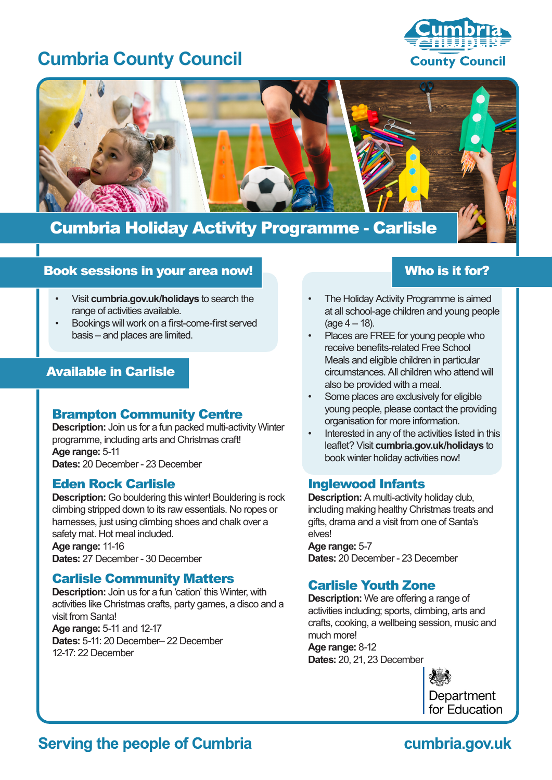# **Cumbria County Council**





## Cumbria Holiday Activity Programme - Carlisle

## Book sessions in your area now!

- Visit **cumbria.gov.uk/holidays** to search the range of activities available.
- Bookings will work on a first-come-first served basis – and places are limited.

## Available in Carlisle

## Brampton Community Centre

**Description:** Join us for a fun packed multi-activity Winter programme, including arts and Christmas craft! **Age range:** 5-11 **Dates:** 20 December - 23 December

#### Eden Rock Carlisle

**Description:** Go bouldering this winter! Bouldering is rock climbing stripped down to its raw essentials. No ropes or harnesses, just using climbing shoes and chalk over a safety mat. Hot meal included. **Age range:** 11-16 **Dates:** 27 December - 30 December

## Carlisle Community Matters

**Description:** Join us for a fun 'cation' this Winter, with activities like Christmas crafts, party games, a disco and a visit from Santa! **Age range:** 5-11 and 12-17 **Dates:** 5-11: 20 December– 22 December 12-17: 22 December

## Who is it for?

- The Holiday Activity Programme is aimed at all school-age children and young people  $(aq e 4 - 18)$ .
- Places are FREE for young people who receive benefits-related Free School Meals and eligible children in particular circumstances. All children who attend will also be provided with a meal.
- Some places are exclusively for eligible young people, please contact the providing organisation for more information.
- Interested in any of the activities listed in this leaflet? Visit **cumbria.gov.uk/holidays** to book winter holiday activities now!

## Inglewood Infants

**Description:** A multi-activity holiday club, including making healthy Christmas treats and gifts, drama and a visit from one of Santa's elves!

**Age range:** 5-7 **Dates:** 20 December - 23 December

## Carlisle Youth Zone

**Description:** We are offering a range of activities including; sports, climbing, arts and crafts, cooking, a wellbeing session, music and much more!

**Age range:** 8-12 **Dates:** 20, 21, 23 December



## **Serving the people of Cumbria**

## cumbria.gov.uk